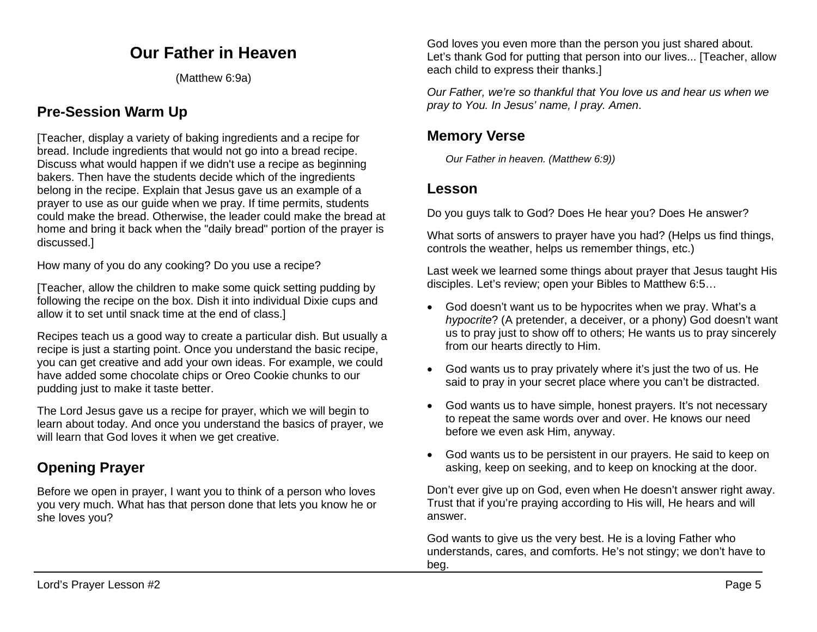# **Our Father in Heaven**

(Matthew 6:9a)

# **Pre-Session Warm Up**

[Teacher, display a variety of baking ingredients and a recipe for bread. Include ingredients that would not go into a bread recipe. Discuss what would happen if we didn't use a recipe as beginning bakers. Then have the students decide which of the ingredients belong in the recipe. Explain that Jesus gave us an example of a prayer to use as our guide when we pray. If time permits, students could make the bread. Otherwise, the leader could make the bread at home and bring it back when the "daily bread" portion of the prayer is discussed.]

How many of you do any cooking? Do you use a recipe?

[Teacher, allow the children to make some quick setting pudding by following the recipe on the box. Dish it into individual Dixie cups and allow it to set until snack time at the end of class.]

Recipes teach us a good way to create a particular dish. But usually a recipe is just a starting point. Once you understand the basic recipe, you can get creative and add your own ideas. For example, we could have added some chocolate chips or Oreo Cookie chunks to our pudding just to make it taste better.

The Lord Jesus gave us a recipe for prayer, which we will begin to learn about today. And once you understand the basics of prayer, we will learn that God loves it when we get creative.

# **Opening Prayer**

Before we open in prayer, I want you to think of a person who loves you very much. What has that person done that lets you know he or she loves you?

God loves you even more than the person you just shared about. Let's thank God for putting that person into our lives... [Teacher, allow each child to express their thanks.]

*Our Father, we're so thankful that You love us and hear us when we pray to You. In Jesus' name, I pray. Amen*.

# **Memory Verse**

*Our Father in heaven. (Matthew 6:9))*

### **Lesson**

Do you guys talk to God? Does He hear you? Does He answer?

What sorts of answers to prayer have you had? (Helps us find things, controls the weather, helps us remember things, etc.)

Last week we learned some things about prayer that Jesus taught His disciples. Let's review; open your Bibles to Matthew 6:5…

- God doesn't want us to be hypocrites when we pray. What's a *hypocrite*? (A pretender, a deceiver, or a phony) God doesn't want us to pray just to show off to others; He wants us to pray sincerely from our hearts directly to Him.
- God wants us to pray privately where it's just the two of us. He said to pray in your secret place where you can't be distracted.
- God wants us to have simple, honest prayers. It's not necessary to repeat the same words over and over. He knows our need before we even ask Him, anyway.
- God wants us to be persistent in our prayers. He said to keep on asking, keep on seeking, and to keep on knocking at the door.

Don't ever give up on God, even when He doesn't answer right away. Trust that if you're praying according to His will, He hears and will answer.

God wants to give us the very best. He is a loving Father who understands, cares, and comforts. He's not stingy; we don't have to beg.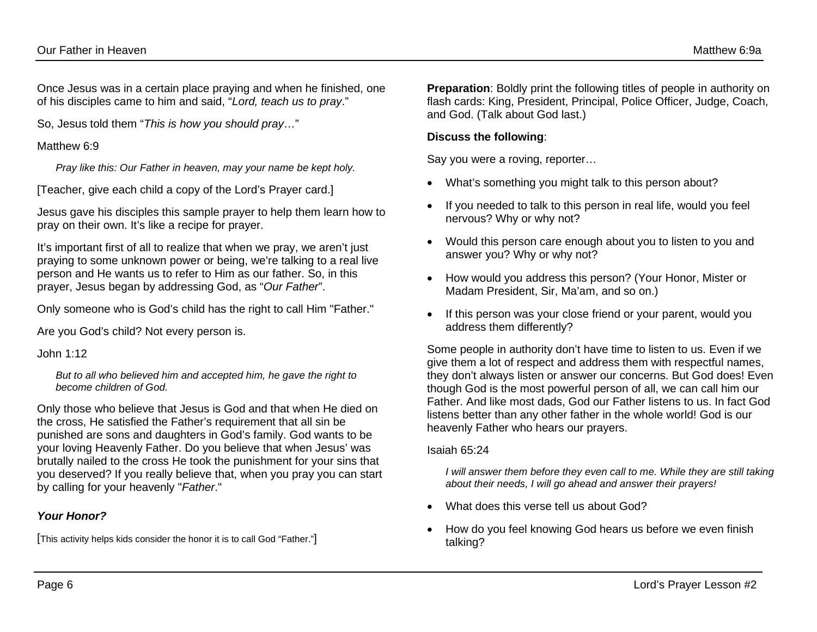Once Jesus was in a certain place praying and when he finished, one of his disciples came to him and said, "*Lord, teach us to pray*."

So, Jesus told them "*This is how you should pray*…"

#### Matthew 6:9

*Pray like this: Our Father in heaven, may your name be kept holy.* 

[Teacher, give each child a copy of the Lord's Prayer card.]

Jesus gave his disciples this sample prayer to help them learn how to pray on their own. It's like a recipe for prayer.

It's important first of all to realize that when we pray, we aren't just praying to some unknown power or being, we're talking to a real live person and He wants us to refer to Him as our father. So, in this prayer, Jesus began by addressing God, as "*Our Father*".

Only someone who is God's child has the right to call Him "Father."

Are you God's child? Not every person is.

John 1:12

*But to all who believed him and accepted him, he gave the right to become children of God.* 

Only those who believe that Jesus is God and that when He died on the cross, He satisfied the Father's requirement that all sin be punished are sons and daughters in God's family. God wants to be your loving Heavenly Father. Do you believe that when Jesus' was brutally nailed to the cross He took the punishment for your sins that you deserved? If you really believe that, when you pray you can start by calling for your heavenly "*Father*."

### *Your Honor?*

[This activity helps kids consider the honor it is to call God "Father."]

**Preparation:** Boldly print the following titles of people in authority on flash cards: King, President, Principal, Police Officer, Judge, Coach, and God. (Talk about God last.)

### **Discuss the following**:

Say you were a roving, reporter…

- What's something you might talk to this person about?
- If you needed to talk to this person in real life, would you feel nervous? Why or why not?
- Would this person care enough about you to listen to you and answer you? Why or why not?
- How would you address this person? (Your Honor, Mister or Madam President, Sir, Ma'am, and so on.)
- If this person was your close friend or your parent, would you address them differently?

Some people in authority don't have time to listen to us. Even if we give them a lot of respect and address them with respectful names, they don't always listen or answer our concerns. But God does! Even though God is the most powerful person of all, we can call him our Father. And like most dads, God our Father listens to us. In fact God listens better than any other father in the whole world! God is our heavenly Father who hears our prayers.

#### Isaiah 65:24

*I* will answer them before they even call to me. While they are still taking *about their needs, I will go ahead and answer their prayers!* 

- What does this verse tell us about God?
- How do you feel knowing God hears us before we even finish talking?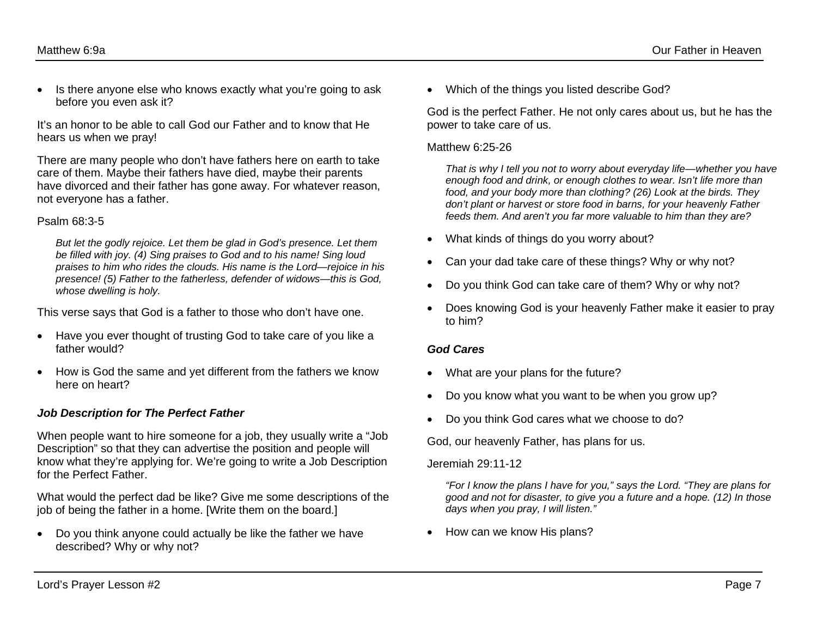• Is there anyone else who knows exactly what you're going to ask before you even ask it?

It's an honor to be able to call God our Father and to know that He hears us when we pray!

There are many people who don't have fathers here on earth to take care of them. Maybe their fathers have died, maybe their parents have divorced and their father has gone away. For whatever reason, not everyone has a father.

#### Psalm 68:3-5

*But let the godly rejoice. Let them be glad in God's presence. Let them be filled with joy. (4) Sing praises to God and to his name! Sing loud praises to him who rides the clouds. His name is the Lord—rejoice in his presence! (5) Father to the fatherless, defender of widows—this is God, whose dwelling is holy.* 

This verse says that God is a father to those who don't have one.

- Have you ever thought of trusting God to take care of you like a father would?
- How is God the same and yet different from the fathers we know here on heart?

#### *Job Description for The Perfect Father*

When people want to hire someone for a job, they usually write a "Job Description" so that they can advertise the position and people will know what they're applying for. We're going to write a Job Description for the Perfect Father.

What would the perfect dad be like? Give me some descriptions of the job of being the father in a home. [Write them on the board.]

• Do you think anyone could actually be like the father we have described? Why or why not?

• Which of the things you listed describe God?

God is the perfect Father. He not only cares about us, but he has the power to take care of us.

#### Matthew 6:25-26

*That is why I tell you not to worry about everyday life—whether you have enough food and drink, or enough clothes to wear. Isn't life more than food, and your body more than clothing? (26) Look at the birds. They don't plant or harvest or store food in barns, for your heavenly Father feeds them. And aren't you far more valuable to him than they are?* 

- What kinds of things do you worry about?
- Can your dad take care of these things? Why or why not?
- Do you think God can take care of them? Why or why not?
- Does knowing God is your heavenly Father make it easier to pray to him?

#### *God Cares*

- What are your plans for the future?
- Do you know what you want to be when you grow up?
- Do you think God cares what we choose to do?

God, our heavenly Father, has plans for us.

#### Jeremiah 29:11-12

*"For I know the plans I have for you," says the Lord. "They are plans for good and not for disaster, to give you a future and a hope. (12) In those days when you pray, I will listen."* 

• How can we know His plans?